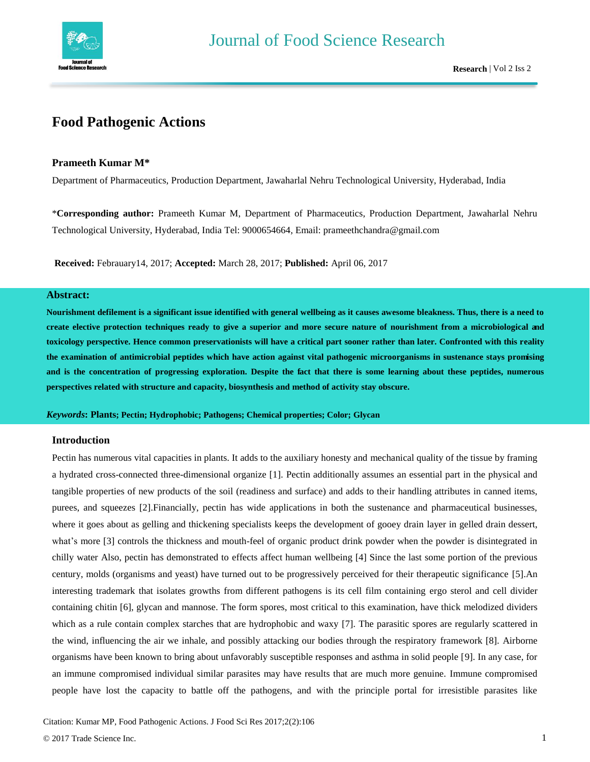

# **Food Pathogenic Actions**

## **Prameeth Kumar M\***

Department of Pharmaceutics, Production Department, Jawaharlal Nehru Technological University, Hyderabad, India

\***Corresponding author:** Prameeth Kumar M, Department of Pharmaceutics, Production Department, Jawaharlal Nehru Technological University, Hyderabad, India Tel: 9000654664, Email: [prameethchandra@gmail.com](mailto:prameethchandra@gmail.com)

**Received:** Febrauary14, 2017; **Accepted:** March 28, 2017; **Published:** April 06, 2017

## **Abstract:**

**Nourishment defilement is a significant issue identified with general wellbeing as it causes awesome bleakness. Thus, there is a need to create elective protection techniques ready to give a superior and more secure nature of nourishment from a microbiological and toxicology perspective. Hence common preservationists will have a critical part sooner rather than later. Confronted with this reality the examination of antimicrobial peptides which have action against vital pathogenic microorganisms in sustenance stays promising and is the concentration of progressing exploration. Despite the fact that there is some learning about these peptides, numerous perspectives related with structure and capacity, biosynthesis and method of activity stay obscure.**

#### *Keywords***: Plants; Pectin; Hydrophobic; Pathogens; Chemical properties; Color; Glycan**

## **Introduction**

Pectin has numerous vital capacities in plants. It adds to the auxiliary honesty and mechanical quality of the tissue by framing a hydrated cross-connected three-dimensional organize [1]. Pectin additionally assumes an essential part in the physical and tangible properties of new products of the soil (readiness and surface) and adds to their handling attributes in canned items, purees, and squeezes [2].Financially, pectin has wide applications in both the sustenance and pharmaceutical businesses, where it goes about as gelling and thickening specialists keeps the development of gooey drain layer in gelled drain dessert, what's more [3] controls the thickness and mouth-feel of organic product drink powder when the powder is disintegrated in chilly water Also, pectin has demonstrated to effects affect human wellbeing [4] Since the last some portion of the previous century, molds (organisms and yeast) have turned out to be progressively perceived for their therapeutic significance [5].An interesting trademark that isolates growths from different pathogens is its cell film containing ergo sterol and cell divider containing chitin [6], glycan and mannose. The form spores, most critical to this examination, have thick melodized dividers which as a rule contain complex starches that are hydrophobic and waxy [7]. The parasitic spores are regularly scattered in the wind, influencing the air we inhale, and possibly attacking our bodies through the respiratory framework [8]. Airborne organisms have been known to bring about unfavorably susceptible responses and asthma in solid people [9]. In any case, for an immune compromised individual similar parasites may have results that are much more genuine. Immune compromised people have lost the capacity to battle off the pathogens, and with the principle portal for irresistible parasites like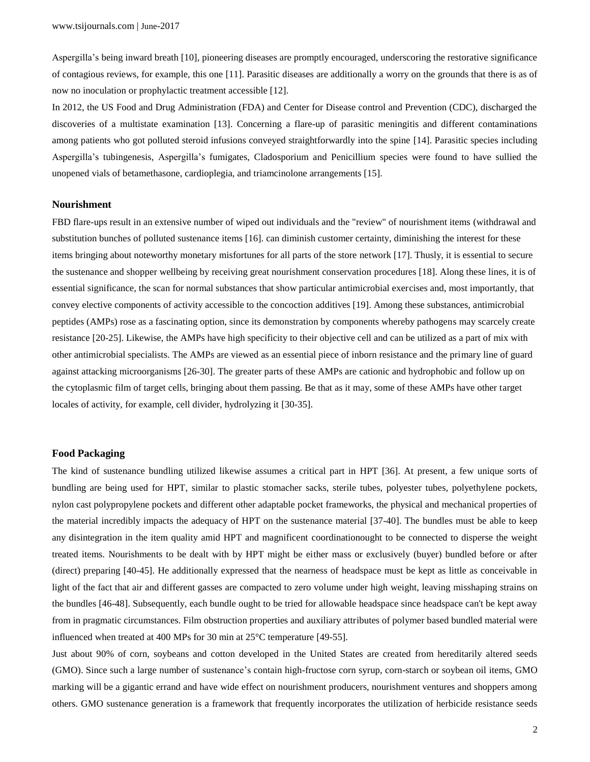Aspergilla's being inward breath [10], pioneering diseases are promptly encouraged, underscoring the restorative significance of contagious reviews, for example, this one [11]. Parasitic diseases are additionally a worry on the grounds that there is as of now no inoculation or prophylactic treatment accessible [12].

In 2012, the US Food and Drug Administration (FDA) and Center for Disease control and Prevention (CDC), discharged the discoveries of a multistate examination [13]. Concerning a flare-up of parasitic meningitis and different contaminations among patients who got polluted steroid infusions conveyed straightforwardly into the spine [14]. Parasitic species including Aspergilla's tubingenesis, Aspergilla's fumigates, Cladosporium and Penicillium species were found to have sullied the unopened vials of betamethasone, cardioplegia, and triamcinolone arrangements [15].

#### **Nourishment**

FBD flare-ups result in an extensive number of wiped out individuals and the "review" of nourishment items (withdrawal and substitution bunches of polluted sustenance items [16]. can diminish customer certainty, diminishing the interest for these items bringing about noteworthy monetary misfortunes for all parts of the store network [17]. Thusly, it is essential to secure the sustenance and shopper wellbeing by receiving great nourishment conservation procedures [18]. Along these lines, it is of essential significance, the scan for normal substances that show particular antimicrobial exercises and, most importantly, that convey elective components of activity accessible to the concoction additives [19]. Among these substances, antimicrobial peptides (AMPs) rose as a fascinating option, since its demonstration by components whereby pathogens may scarcely create resistance [20-25]. Likewise, the AMPs have high specificity to their objective cell and can be utilized as a part of mix with other antimicrobial specialists. The AMPs are viewed as an essential piece of inborn resistance and the primary line of guard against attacking microorganisms [26-30]. The greater parts of these AMPs are cationic and hydrophobic and follow up on the cytoplasmic film of target cells, bringing about them passing. Be that as it may, some of these AMPs have other target locales of activity, for example, cell divider, hydrolyzing it [30-35].

#### **Food Packaging**

The kind of sustenance bundling utilized likewise assumes a critical part in HPT [36]. At present, a few unique sorts of bundling are being used for HPT, similar to plastic stomacher sacks, sterile tubes, polyester tubes, polyethylene pockets, nylon cast polypropylene pockets and different other adaptable pocket frameworks, the physical and mechanical properties of the material incredibly impacts the adequacy of HPT on the sustenance material [37-40]. The bundles must be able to keep any disintegration in the item quality amid HPT and magnificent coordinationought to be connected to disperse the weight treated items. Nourishments to be dealt with by HPT might be either mass or exclusively (buyer) bundled before or after (direct) preparing [40-45]. He additionally expressed that the nearness of headspace must be kept as little as conceivable in light of the fact that air and different gasses are compacted to zero volume under high weight, leaving misshaping strains on the bundles [46-48]. Subsequently, each bundle ought to be tried for allowable headspace since headspace can't be kept away from in pragmatic circumstances. Film obstruction properties and auxiliary attributes of polymer based bundled material were influenced when treated at 400 MPs for 30 min at 25°C temperature [49-55].

Just about 90% of corn, soybeans and cotton developed in the United States are created from hereditarily altered seeds (GMO). Since such a large number of sustenance's contain high-fructose corn syrup, corn-starch or soybean oil items, GMO marking will be a gigantic errand and have wide effect on nourishment producers, nourishment ventures and shoppers among others. GMO sustenance generation is a framework that frequently incorporates the utilization of herbicide resistance seeds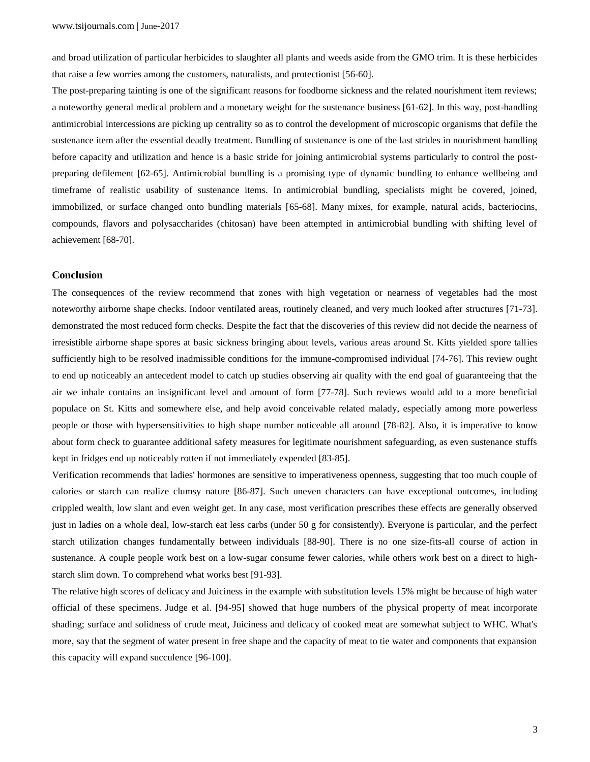and broad utilization of particular herbicides to slaughter all plants and weeds aside from the GMO trim. It is these herbicides that raise a few worries among the customers, naturalists, and protectionist [56-60].

The post-preparing tainting is one of the significant reasons for foodborne sickness and the related nourishment item reviews; a noteworthy general medical problem and a monetary weight for the sustenance business [61-62]. In this way, post-handling antimicrobial intercessions are picking up centrality so as to control the development of microscopic organisms that defile the sustenance item after the essential deadly treatment. Bundling of sustenance is one of the last strides in nourishment handling before capacity and utilization and hence is a basic stride for joining antimicrobial systems particularly to control the postpreparing defilement [62-65]. Antimicrobial bundling is a promising type of dynamic bundling to enhance wellbeing and timeframe of realistic usability of sustenance items. In antimicrobial bundling, specialists might be covered, joined, immobilized, or surface changed onto bundling materials [65-68]. Many mixes, for example, natural acids, bacteriocins, compounds, flavors and polysaccharides (chitosan) have been attempted in antimicrobial bundling with shifting level of achievement [68-70].

## **Conclusion**

The consequences of the review recommend that zones with high vegetation or nearness of vegetables had the most noteworthy airborne shape checks. Indoor ventilated areas, routinely cleaned, and very much looked after structures [71-73]. demonstrated the most reduced form checks. Despite the fact that the discoveries of this review did not decide the nearness of irresistible airborne shape spores at basic sickness bringing about levels, various areas around St. Kitts yielded spore tallies sufficiently high to be resolved inadmissible conditions for the immune-compromised individual [74-76]. This review ought to end up noticeably an antecedent model to catch up studies observing air quality with the end goal of guaranteeing that the air we inhale contains an insignificant level and amount of form [77-78]. Such reviews would add to a more beneficial populace on St. Kitts and somewhere else, and help avoid conceivable related malady, especially among more powerless people or those with hypersensitivities to high shape number noticeable all around [78-82]. Also, it is imperative to know about form check to guarantee additional safety measures for legitimate nourishment safeguarding, as even sustenance stuffs kept in fridges end up noticeably rotten if not immediately expended [83-85].

Verification recommends that ladies' hormones are sensitive to imperativeness openness, suggesting that too much couple of calories or starch can realize clumsy nature [86-87]. Such uneven characters can have exceptional outcomes, including crippled wealth, low slant and even weight get. In any case, most verification prescribes these effects are generally observed just in ladies on a whole deal, low-starch eat less carbs (under 50 g for consistently). Everyone is particular, and the perfect starch utilization changes fundamentally between individuals [88-90]. There is no one size-fits-all course of action in sustenance. A couple people work best on a low-sugar consume fewer calories, while others work best on a direct to highstarch slim down. To comprehend what works best [91-93].

The relative high scores of delicacy and Juiciness in the example with substitution levels 15% might be because of high water official of these specimens. Judge et al. [94-95] showed that huge numbers of the physical property of meat incorporate shading; surface and solidness of crude meat, Juiciness and delicacy of cooked meat are somewhat subject to WHC. What's more, say that the segment of water present in free shape and the capacity of meat to tie water and components that expansion this capacity will expand succulence [96-100].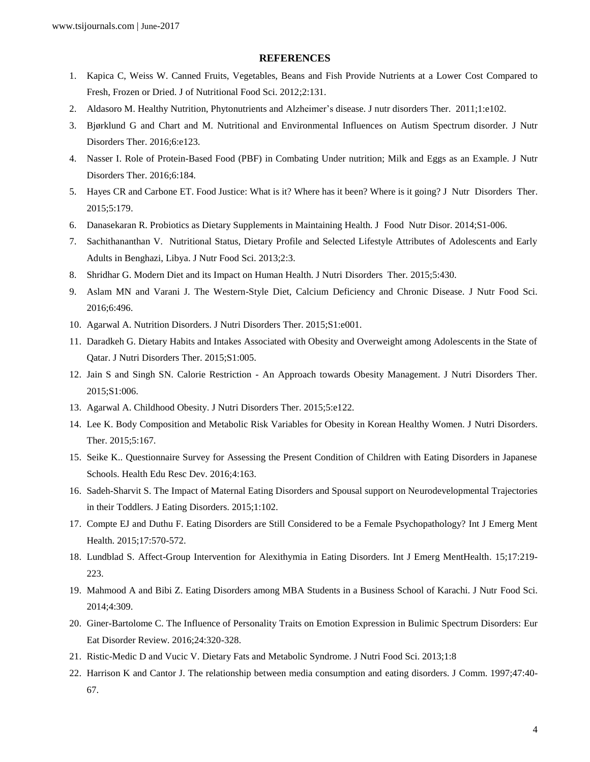### **REFERENCES**

- 1. Kapica C, Weiss W. Canned Fruits, Vegetables, Beans and Fish Provide Nutrients at a Lower Cost Compared to Fresh, Frozen or Dried. J of Nutritional Food Sci. 2012;2:131.
- 2. Aldasoro M. Healthy Nutrition, Phytonutrients and Alzheimer's disease. J nutr disorders Ther. 2011;1:e102.
- 3. Bjørklund G and Chart and M. Nutritional and Environmental Influences on Autism Spectrum disorder. J Nutr Disorders Ther. 2016;6:e123.
- 4. Nasser I. Role of Protein-Based Food (PBF) in Combating Under nutrition; Milk and Eggs as an Example. J Nutr Disorders Ther. 2016;6:184.
- 5. Hayes CR and Carbone ET. Food Justice: What is it? Where has it been? Where is it going? J Nutr Disorders Ther. 2015;5:179.
- 6. Danasekaran R. Probiotics as Dietary Supplements in Maintaining Health. J Food Nutr Disor. 2014;S1-006.
- 7. Sachithananthan V. Nutritional Status, Dietary Profile and Selected Lifestyle Attributes of Adolescents and Early Adults in Benghazi, Libya. J Nutr Food Sci. 2013;2:3.
- 8. Shridhar G. Modern Diet and its Impact on Human Health. J Nutri Disorders Ther. 2015;5:430.
- 9. Aslam MN and Varani J. The Western-Style Diet, Calcium Deficiency and Chronic Disease. J Nutr Food Sci. 2016;6:496.
- 10. Agarwal A. Nutrition Disorders. J Nutri Disorders Ther. 2015;S1:e001.
- 11. Daradkeh G. Dietary Habits and Intakes Associated with Obesity and Overweight among Adolescents in the State of Qatar. J Nutri Disorders Ther. 2015;S1:005.
- 12. Jain S and Singh SN. Calorie Restriction An Approach towards Obesity Management. J Nutri Disorders Ther. 2015;S1:006.
- 13. Agarwal A. Childhood Obesity. J Nutri Disorders Ther. 2015;5:e122.
- 14. Lee K. Body Composition and Metabolic Risk Variables for Obesity in Korean Healthy Women. J Nutri Disorders. Ther. 2015;5:167.
- 15. Seike K.. Questionnaire Survey for Assessing the Present Condition of Children with Eating Disorders in Japanese Schools. Health Edu Resc Dev. 2016;4:163.
- 16. Sadeh-Sharvit S. The Impact of Maternal Eating Disorders and Spousal support on Neurodevelopmental Trajectories in their Toddlers. J Eating Disorders. 2015;1:102.
- 17. Compte EJ and Duthu F. Eating Disorders are Still Considered to be a Female Psychopathology? Int J Emerg Ment Health. 2015;17:570-572.
- 18. Lundblad S. Affect-Group Intervention for Alexithymia in Eating Disorders. Int J Emerg MentHealth. 15;17:219- 223.
- 19. Mahmood A and Bibi Z. Eating Disorders among MBA Students in a Business School of Karachi. J Nutr Food Sci. 2014;4:309.
- 20. Giner-Bartolome C. The Influence of Personality Traits on Emotion Expression in Bulimic Spectrum Disorders: Eur Eat Disorder Review. 2016;24:320-328.
- 21. Ristic-Medic D and Vucic V. Dietary Fats and Metabolic Syndrome. J Nutri Food Sci. 2013;1:8
- 22. Harrison K and Cantor J. The relationship between media consumption and eating disorders. J Comm. 1997;47:40- 67.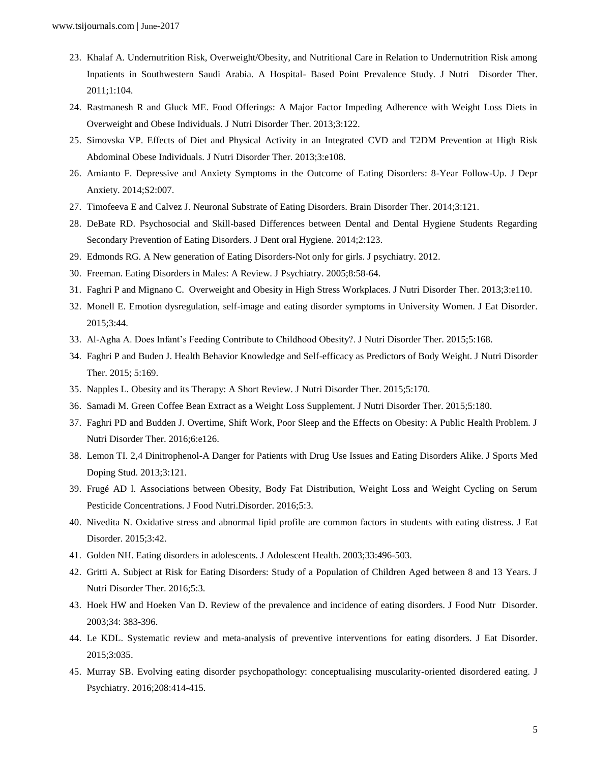- 23. Khalaf A. Undernutrition Risk, Overweight/Obesity, and Nutritional Care in Relation to Undernutrition Risk among Inpatients in Southwestern Saudi Arabia. A Hospital- Based Point Prevalence Study. J Nutri Disorder Ther. 2011;1:104.
- 24. Rastmanesh R and Gluck ME. Food Offerings: A Major Factor Impeding Adherence with Weight Loss Diets in Overweight and Obese Individuals. J Nutri Disorder Ther. 2013;3:122.
- 25. Simovska VP. Effects of Diet and Physical Activity in an Integrated CVD and T2DM Prevention at High Risk Abdominal Obese Individuals. J Nutri Disorder Ther. 2013;3:e108.
- 26. Amianto F. Depressive and Anxiety Symptoms in the Outcome of Eating Disorders: 8-Year Follow-Up. J Depr Anxiety. 2014;S2:007.
- 27. Timofeeva E and Calvez J. Neuronal Substrate of Eating Disorders. Brain Disorder Ther. 2014;3:121.
- 28. DeBate RD. Psychosocial and Skill-based Differences between Dental and Dental Hygiene Students Regarding Secondary Prevention of Eating Disorders. J Dent oral Hygiene. 2014;2:123.
- 29. Edmonds RG. A New generation of Eating Disorders-Not only for girls. J psychiatry. 2012.
- 30. Freeman. Eating Disorders in Males: A Review. J Psychiatry. 2005;8:58-64.
- 31. Faghri P and Mignano C. Overweight and Obesity in High Stress Workplaces. J Nutri Disorder Ther. 2013;3:e110.
- 32. Monell E. Emotion dysregulation, self-image and eating disorder symptoms in University Women. J Eat Disorder. 2015;3:44.
- 33. Al-Agha A. Does Infant's Feeding Contribute to Childhood Obesity?. J Nutri Disorder Ther. 2015;5:168.
- 34. Faghri P and Buden J. Health Behavior Knowledge and Self-efficacy as Predictors of Body Weight. J Nutri Disorder Ther. 2015; 5:169.
- 35. Napples L. Obesity and its Therapy: A Short Review. J Nutri Disorder Ther. 2015;5:170.
- 36. Samadi M. Green Coffee Bean Extract as a Weight Loss Supplement. J Nutri Disorder Ther. 2015;5:180.
- 37. Faghri PD and Budden J. Overtime, Shift Work, Poor Sleep and the Effects on Obesity: A Public Health Problem. J Nutri Disorder Ther. 2016;6:e126.
- 38. Lemon TI. 2,4 Dinitrophenol-A Danger for Patients with Drug Use Issues and Eating Disorders Alike. J Sports Med Doping Stud. 2013;3:121.
- 39. Frugé AD l. Associations between Obesity, Body Fat Distribution, Weight Loss and Weight Cycling on Serum Pesticide Concentrations. J Food Nutri.Disorder. 2016;5:3.
- 40. Nivedita N. Oxidative stress and abnormal lipid profile are common factors in students with eating distress. J Eat Disorder. 2015;3:42.
- 41. Golden NH. Eating disorders in adolescents. J Adolescent Health. 2003;33:496-503.
- 42. Gritti A. Subject at Risk for Eating Disorders: Study of a Population of Children Aged between 8 and 13 Years. J Nutri Disorder Ther. 2016;5:3.
- 43. Hoek HW and Hoeken Van D. Review of the prevalence and incidence of eating disorders. J Food Nutr Disorder. 2003;34: 383-396.
- 44. Le KDL. Systematic review and meta-analysis of preventive interventions for eating disorders. J Eat Disorder. 2015;3:035.
- 45. Murray SB. Evolving eating disorder psychopathology: conceptualising muscularity-oriented disordered eating. J Psychiatry. 2016;208:414-415.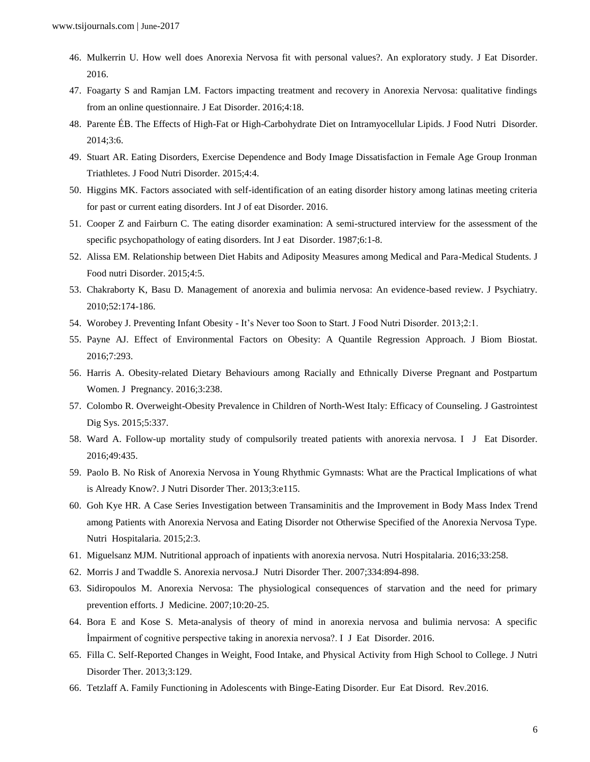- 46. Mulkerrin U. How well does Anorexia Nervosa fit with personal values?. An exploratory study. J Eat Disorder. 2016.
- 47. Foagarty S and Ramjan LM. Factors impacting treatment and recovery in Anorexia Nervosa: qualitative findings from an online questionnaire. J Eat Disorder. 2016;4:18.
- 48. Parente ÉB. The Effects of High-Fat or High-Carbohydrate Diet on Intramyocellular Lipids. J Food Nutri Disorder. 2014;3:6.
- 49. Stuart AR. Eating Disorders, Exercise Dependence and Body Image Dissatisfaction in Female Age Group Ironman Triathletes. J Food Nutri Disorder. 2015;4:4.
- 50. Higgins MK. Factors associated with self-identification of an eating disorder history among latinas meeting criteria for past or current eating disorders. Int J of eat Disorder. 2016.
- 51. Cooper Z and Fairburn C. The eating disorder examination: A semi-structured interview for the assessment of the specific psychopathology of eating disorders. Int J eat Disorder. 1987;6:1-8.
- 52. Alissa EM. Relationship between Diet Habits and Adiposity Measures among Medical and Para-Medical Students. J Food nutri Disorder. 2015;4:5.
- 53. Chakraborty K, Basu D. Management of anorexia and bulimia nervosa: An evidence-based review. J Psychiatry. 2010;52:174-186.
- 54. Worobey J. Preventing Infant Obesity It's Never too Soon to Start. J Food Nutri Disorder. 2013;2:1.
- 55. Payne AJ. Effect of Environmental Factors on Obesity: A Quantile Regression Approach. J Biom Biostat. 2016;7:293.
- 56. Harris A. Obesity-related Dietary Behaviours among Racially and Ethnically Diverse Pregnant and Postpartum Women. J Pregnancy. 2016;3:238.
- 57. Colombo R. Overweight-Obesity Prevalence in Children of North-West Italy: Efficacy of Counseling. J Gastrointest Dig Sys. 2015;5:337.
- 58. Ward A. Follow-up mortality study of compulsorily treated patients with anorexia nervosa. I J Eat Disorder. 2016;49:435.
- 59. Paolo B. No Risk of Anorexia Nervosa in Young Rhythmic Gymnasts: What are the Practical Implications of what is Already Know?. J Nutri Disorder Ther. 2013;3:e115.
- 60. Goh Kye HR. A Case Series Investigation between Transaminitis and the Improvement in Body Mass Index Trend among Patients with Anorexia Nervosa and Eating Disorder not Otherwise Specified of the Anorexia Nervosa Type. Nutri Hospitalaria. 2015;2:3.
- 61. Miguelsanz MJM. Nutritional approach of inpatients with anorexia nervosa. Nutri Hospitalaria. 2016;33:258.
- 62. Morris J and Twaddle S. Anorexia nervosa.J Nutri Disorder Ther. 2007;334:894-898.
- 63. Sidiropoulos M. Anorexia Nervosa: The physiological consequences of starvation and the need for primary prevention efforts. J Medicine. 2007;10:20-25.
- 64. Bora E and Kose S. Meta-analysis of theory of mind in anorexia nervosa and bulimia nervosa: A specific İmpairment of cognitive perspective taking in anorexia nervosa?. I J Eat Disorder. 2016.
- 65. Filla C. Self-Reported Changes in Weight, Food Intake, and Physical Activity from High School to College. J Nutri Disorder Ther. 2013;3:129.
- 66. Tetzlaff A. Family Functioning in Adolescents with Binge-Eating Disorder. Eur Eat Disord. Rev.2016.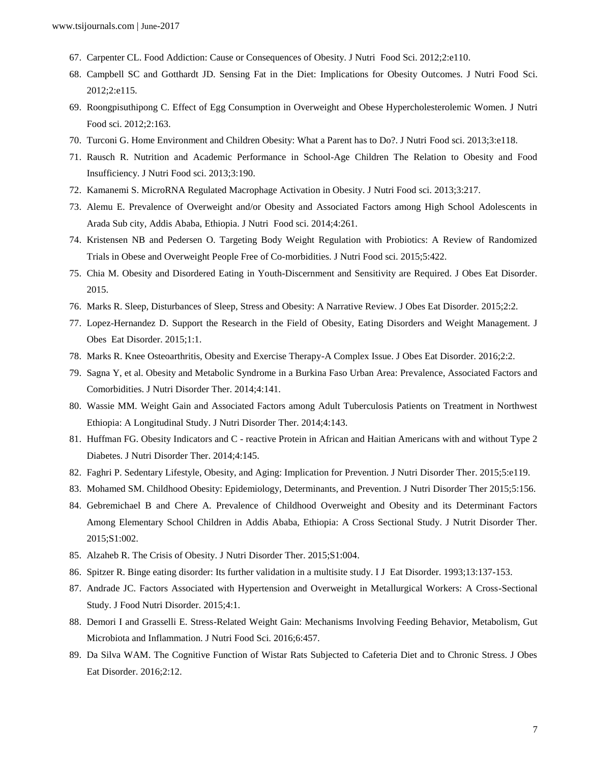- 67. Carpenter CL. Food Addiction: Cause or Consequences of Obesity. J Nutri Food Sci. 2012;2:e110.
- 68. Campbell SC and Gotthardt JD. Sensing Fat in the Diet: Implications for Obesity Outcomes. J Nutri Food Sci. 2012;2:e115.
- 69. Roongpisuthipong C. Effect of Egg Consumption in Overweight and Obese Hypercholesterolemic Women. J Nutri Food sci. 2012;2:163.
- 70. Turconi G. Home Environment and Children Obesity: What a Parent has to Do?. J Nutri Food sci. 2013;3:e118.
- 71. Rausch R. Nutrition and Academic Performance in School-Age Children The Relation to Obesity and Food Insufficiency. J Nutri Food sci. 2013;3:190.
- 72. Kamanemi S. MicroRNA Regulated Macrophage Activation in Obesity. J Nutri Food sci. 2013;3:217.
- 73. Alemu E. Prevalence of Overweight and/or Obesity and Associated Factors among High School Adolescents in Arada Sub city, Addis Ababa, Ethiopia. J Nutri Food sci. 2014;4:261.
- 74. Kristensen NB and Pedersen O. Targeting Body Weight Regulation with Probiotics: A Review of Randomized Trials in Obese and Overweight People Free of Co-morbidities. J Nutri Food sci. 2015;5:422.
- 75. Chia M. Obesity and Disordered Eating in Youth-Discernment and Sensitivity are Required. J Obes Eat Disorder. 2015.
- 76. Marks R. Sleep, Disturbances of Sleep, Stress and Obesity: A Narrative Review. J Obes Eat Disorder. 2015;2:2.
- 77. Lopez-Hernandez D. Support the Research in the Field of Obesity, Eating Disorders and Weight Management. J Obes Eat Disorder. 2015;1:1.
- 78. Marks R. Knee Osteoarthritis, Obesity and Exercise Therapy-A Complex Issue. J Obes Eat Disorder. 2016;2:2.
- 79. Sagna Y, et al. Obesity and Metabolic Syndrome in a Burkina Faso Urban Area: Prevalence, Associated Factors and Comorbidities. J Nutri Disorder Ther. 2014;4:141.
- 80. Wassie MM. Weight Gain and Associated Factors among Adult Tuberculosis Patients on Treatment in Northwest Ethiopia: A Longitudinal Study. J Nutri Disorder Ther. 2014;4:143.
- 81. Huffman FG. Obesity Indicators and C reactive Protein in African and Haitian Americans with and without Type 2 Diabetes. J Nutri Disorder Ther. 2014;4:145.
- 82. Faghri P. Sedentary Lifestyle, Obesity, and Aging: Implication for Prevention. J Nutri Disorder Ther. 2015;5:e119.
- 83. Mohamed SM. Childhood Obesity: Epidemiology, Determinants, and Prevention. J Nutri Disorder Ther 2015;5:156.
- 84. Gebremichael B and Chere A. Prevalence of Childhood Overweight and Obesity and its Determinant Factors Among Elementary School Children in Addis Ababa, Ethiopia: A Cross Sectional Study. J Nutrit Disorder Ther. 2015;S1:002.
- 85. Alzaheb R. The Crisis of Obesity. J Nutri Disorder Ther. 2015;S1:004.
- 86. Spitzer R. Binge eating disorder: Its further validation in a multisite study. I J Eat Disorder. 1993;13:137-153.
- 87. Andrade JC. Factors Associated with Hypertension and Overweight in Metallurgical Workers: A Cross-Sectional Study. J Food Nutri Disorder. 2015;4:1.
- 88. Demori I and Grasselli E. Stress-Related Weight Gain: Mechanisms Involving Feeding Behavior, Metabolism, Gut Microbiota and Inflammation. J Nutri Food Sci. 2016;6:457.
- 89. Da Silva WAM. The Cognitive Function of Wistar Rats Subjected to Cafeteria Diet and to Chronic Stress. J Obes Eat Disorder. 2016;2:12.